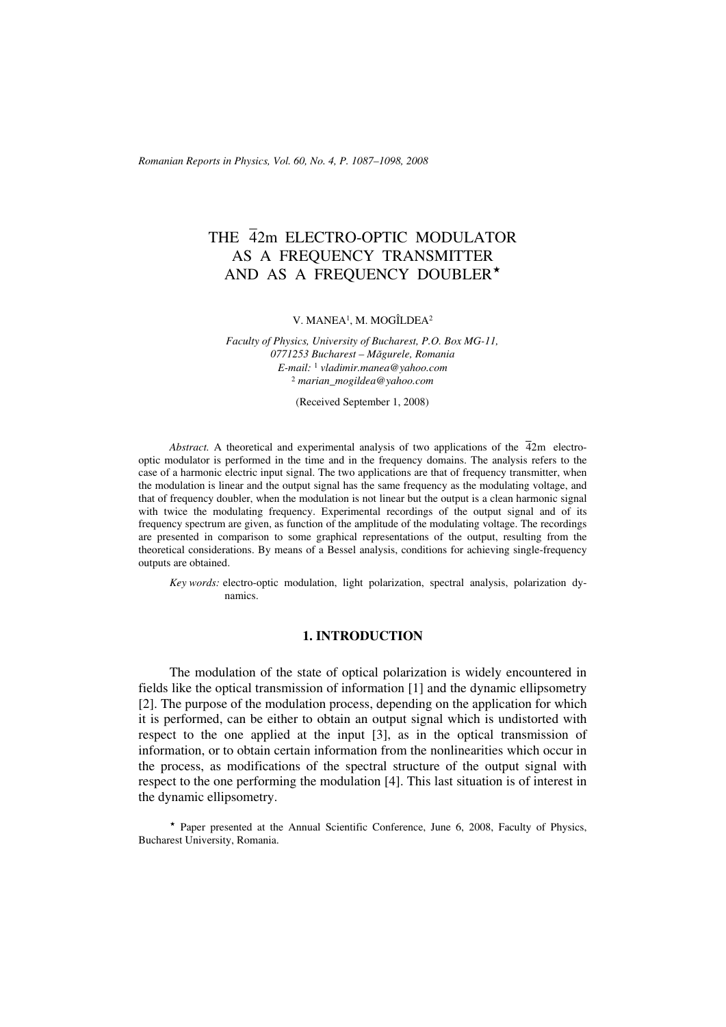*Romanian Reports in Physics, Vol. 60, No. 4, P. 1087–1098, 2008*

# THE 42m ELECTRO-OPTIC MODULATOR AS A FREQUENCY TRANSMITTER AND AS A FREQUENCY DOUBLER<sup>\*</sup>

V. MANEA1, M. MOGÎLDEA2

*Faculty of Physics, University of Bucharest, P.O. Box MG-11, 0771253 Bucharest – Măgurele, Romania E-mail:* <sup>1</sup> *vladimir.manea@yahoo.com* <sup>2</sup> *marian\_mogildea@yahoo.com*

(Received September 1, 2008)

*Abstract.* A theoretical and experimental analysis of two applications of the  $\overline{4}2m$  electrooptic modulator is performed in the time and in the frequency domains. The analysis refers to the case of a harmonic electric input signal. The two applications are that of frequency transmitter, when the modulation is linear and the output signal has the same frequency as the modulating voltage, and that of frequency doubler, when the modulation is not linear but the output is a clean harmonic signal with twice the modulating frequency. Experimental recordings of the output signal and of its frequency spectrum are given, as function of the amplitude of the modulating voltage. The recordings are presented in comparison to some graphical representations of the output, resulting from the theoretical considerations. By means of a Bessel analysis, conditions for achieving single-frequency outputs are obtained.

*Key words:* electro-optic modulation, light polarization, spectral analysis, polarization dynamics.

## **1. INTRODUCTION**

The modulation of the state of optical polarization is widely encountered in fields like the optical transmission of information [1] and the dynamic ellipsometry [2]. The purpose of the modulation process, depending on the application for which it is performed, can be either to obtain an output signal which is undistorted with respect to the one applied at the input [3], as in the optical transmission of information, or to obtain certain information from the nonlinearities which occur in the process, as modifications of the spectral structure of the output signal with respect to the one performing the modulation [4]. This last situation is of interest in the dynamic ellipsometry.

\* Paper presented at the Annual Scientific Conference, June 6, 2008, Faculty of Physics, Bucharest University, Romania.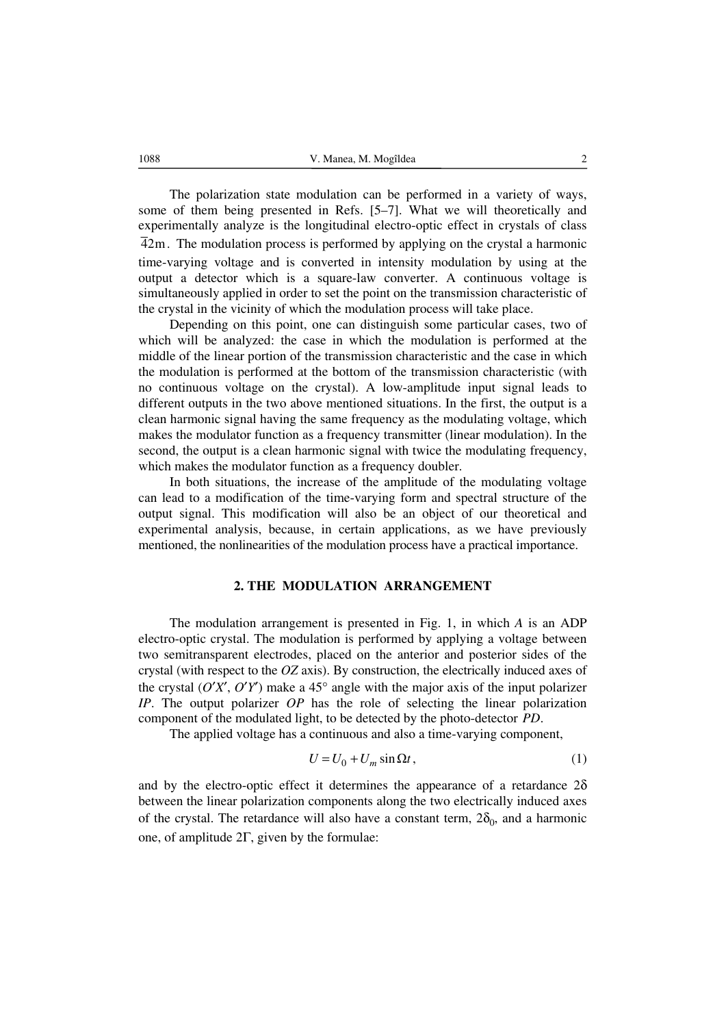The polarization state modulation can be performed in a variety of ways, some of them being presented in Refs. [5–7]. What we will theoretically and experimentally analyze is the longitudinal electro-optic effect in crystals of class 42m. The modulation process is performed by applying on the crystal a harmonic time-varying voltage and is converted in intensity modulation by using at the output a detector which is a square-law converter. A continuous voltage is simultaneously applied in order to set the point on the transmission characteristic of the crystal in the vicinity of which the modulation process will take place.

Depending on this point, one can distinguish some particular cases, two of which will be analyzed: the case in which the modulation is performed at the middle of the linear portion of the transmission characteristic and the case in which the modulation is performed at the bottom of the transmission characteristic (with no continuous voltage on the crystal). A low-amplitude input signal leads to different outputs in the two above mentioned situations. In the first, the output is a clean harmonic signal having the same frequency as the modulating voltage, which makes the modulator function as a frequency transmitter (linear modulation). In the second, the output is a clean harmonic signal with twice the modulating frequency, which makes the modulator function as a frequency doubler.

In both situations, the increase of the amplitude of the modulating voltage can lead to a modification of the time-varying form and spectral structure of the output signal. This modification will also be an object of our theoretical and experimental analysis, because, in certain applications, as we have previously mentioned, the nonlinearities of the modulation process have a practical importance.

### **2. THE MODULATION ARRANGEMENT**

The modulation arrangement is presented in Fig. 1, in which *A* is an ADP electro-optic crystal. The modulation is performed by applying a voltage between two semitransparent electrodes, placed on the anterior and posterior sides of the crystal (with respect to the *OZ* axis). By construction, the electrically induced axes of the crystal  $(O'X', O'Y')$  make a 45° angle with the major axis of the input polarizer *IP*. The output polarizer *OP* has the role of selecting the linear polarization component of the modulated light, to be detected by the photo-detector *PD*.

The applied voltage has a continuous and also a time-varying component,

$$
U = U_0 + U_m \sin \Omega t, \qquad (1)
$$

and by the electro-optic effect it determines the appearance of a retardance  $2\delta$ between the linear polarization components along the two electrically induced axes of the crystal. The retardance will also have a constant term,  $2\delta_0$ , and a harmonic one, of amplitude 2Γ, given by the formulae: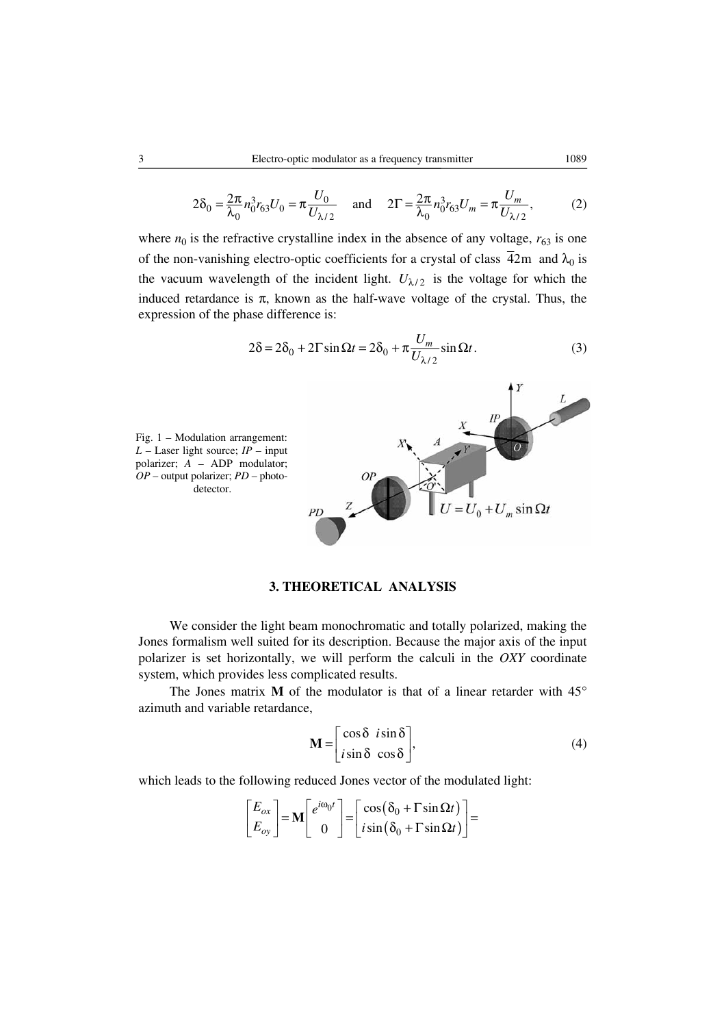$$
2\delta_0 = \frac{2\pi}{\lambda_0} n_0^3 r_{63} U_0 = \pi \frac{U_0}{U_{\lambda/2}} \quad \text{and} \quad 2\Gamma = \frac{2\pi}{\lambda_0} n_0^3 r_{63} U_m = \pi \frac{U_m}{U_{\lambda/2}},\tag{2}
$$

where  $n_0$  is the refractive crystalline index in the absence of any voltage,  $r_{63}$  is one of the non-vanishing electro-optic coefficients for a crystal of class  $\overline{4}2m$  and  $\lambda_0$  is the vacuum wavelength of the incident light.  $U_{\lambda/2}$  is the voltage for which the induced retardance is  $\pi$ , known as the half-wave voltage of the crystal. Thus, the expression of the phase difference is:

$$
2\delta = 2\delta_0 + 2\Gamma \sin \Omega t = 2\delta_0 + \pi \frac{U_m}{U_{\lambda/2}} \sin \Omega t.
$$
 (3)



# **3. THEORETICAL ANALYSIS**

We consider the light beam monochromatic and totally polarized, making the Jones formalism well suited for its description. Because the major axis of the input polarizer is set horizontally, we will perform the calculi in the *OXY* coordinate system, which provides less complicated results.

The Jones matrix **M** of the modulator is that of a linear retarder with 45° azimuth and variable retardance,

$$
\mathbf{M} = \begin{bmatrix} \cos \delta & i \sin \delta \\ i \sin \delta & \cos \delta \end{bmatrix},\tag{4}
$$

which leads to the following reduced Jones vector of the modulated light:

$$
\begin{bmatrix} E_{ox} \\ E_{oy} \end{bmatrix} = \mathbf{M} \begin{bmatrix} e^{i\omega_0 t} \\ 0 \end{bmatrix} = \begin{bmatrix} \cos(\delta_0 + \Gamma \sin \Omega t) \\ i \sin(\delta_0 + \Gamma \sin \Omega t) \end{bmatrix} =
$$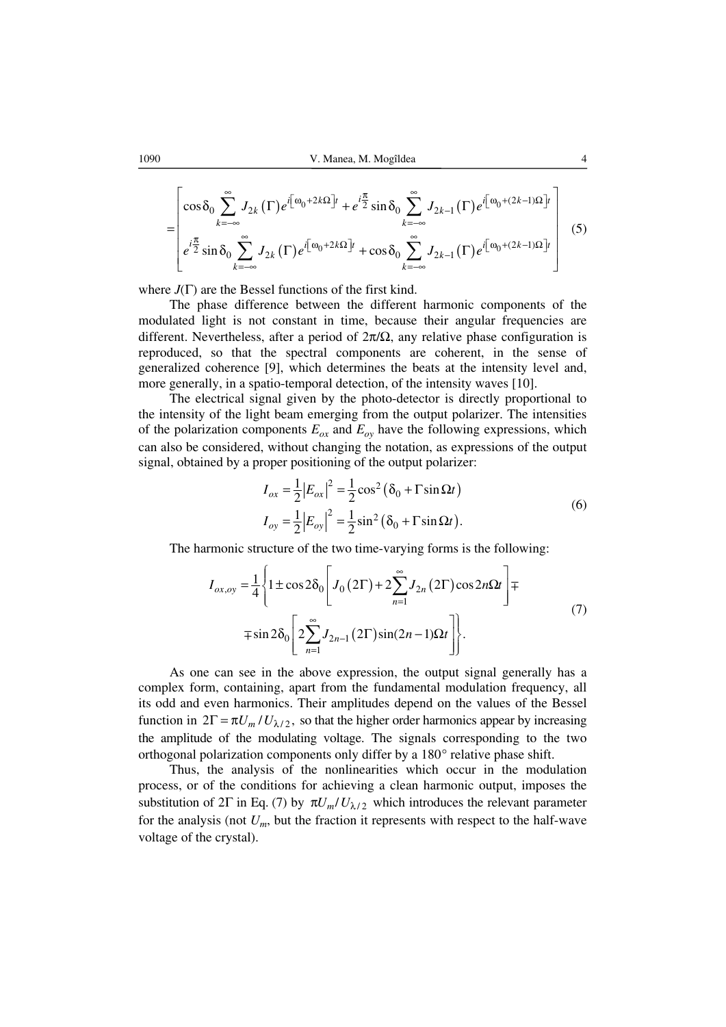1090 V. Manea, M. Mogîldea 4

$$
= \left[\cos \delta_0 \sum_{k=-\infty}^{\infty} J_{2k}(\Gamma) e^{i\left[\omega_0 + 2k\Omega\right]t} + e^{i\frac{\pi}{2}} \sin \delta_0 \sum_{k=-\infty}^{\infty} J_{2k-1}(\Gamma) e^{i\left[\omega_0 + (2k-1)\Omega\right]t} \right]
$$
  
\n
$$
e^{i\frac{\pi}{2}} \sin \delta_0 \sum_{k=-\infty}^{\infty} J_{2k}(\Gamma) e^{i\left[\omega_0 + 2k\Omega\right]t} + \cos \delta_0 \sum_{k=-\infty}^{\infty} J_{2k-1}(\Gamma) e^{i\left[\omega_0 + (2k-1)\Omega\right]t} \right]
$$
(5)

where *J*(Γ) are the Bessel functions of the first kind.

The phase difference between the different harmonic components of the modulated light is not constant in time, because their angular frequencies are different. Nevertheless, after a period of  $2\pi/\Omega$ , any relative phase configuration is reproduced, so that the spectral components are coherent, in the sense of generalized coherence [9], which determines the beats at the intensity level and, more generally, in a spatio-temporal detection, of the intensity waves [10].

The electrical signal given by the photo-detector is directly proportional to the intensity of the light beam emerging from the output polarizer. The intensities of the polarization components  $E_{ox}$  and  $E_{oy}$  have the following expressions, which can also be considered, without changing the notation, as expressions of the output signal, obtained by a proper positioning of the output polarizer:

$$
I_{ox} = \frac{1}{2} |E_{ox}|^2 = \frac{1}{2} \cos^2 (\delta_0 + \Gamma \sin \Omega t)
$$
  
\n
$$
I_{oy} = \frac{1}{2} |E_{oy}|^2 = \frac{1}{2} \sin^2 (\delta_0 + \Gamma \sin \Omega t).
$$
\n(6)

The harmonic structure of the two time-varying forms is the following:

$$
I_{ox,oy} = \frac{1}{4} \left\{ 1 \pm \cos 2\delta_0 \left[ J_0 (2\Gamma) + 2 \sum_{n=1}^{\infty} J_{2n} (2\Gamma) \cos 2n\Omega t \right] \mp \mp \sin 2\delta_0 \left[ 2 \sum_{n=1}^{\infty} J_{2n-1} (2\Gamma) \sin((2n-1)\Omega t) \right] \right\}.
$$
 (7)

As one can see in the above expression, the output signal generally has a complex form, containing, apart from the fundamental modulation frequency, all its odd and even harmonics. Their amplitudes depend on the values of the Bessel function in  $2\Gamma = \pi U_m / U_{\lambda/2}$ , so that the higher order harmonics appear by increasing the amplitude of the modulating voltage. The signals corresponding to the two orthogonal polarization components only differ by a 180° relative phase shift.

Thus, the analysis of the nonlinearities which occur in the modulation process, or of the conditions for achieving a clean harmonic output, imposes the substitution of 2Γ in Eq. (7) by  $\pi U_m / U_{\lambda/2}$  which introduces the relevant parameter for the analysis (not  $U_m$ , but the fraction it represents with respect to the half-wave voltage of the crystal).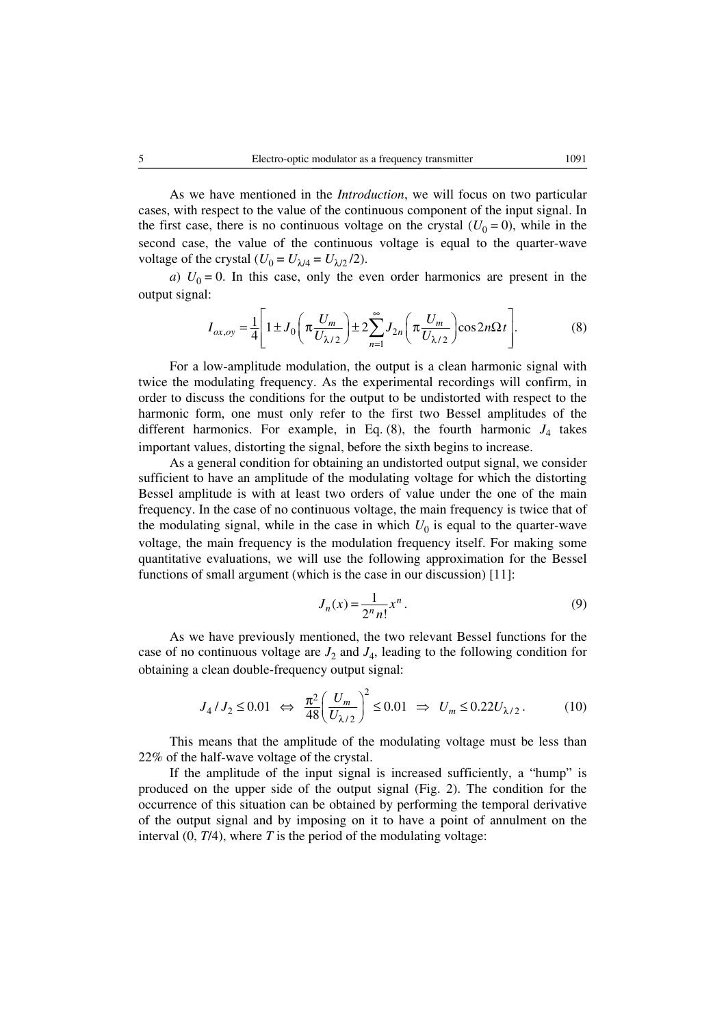As we have mentioned in the *Introduction*, we will focus on two particular cases, with respect to the value of the continuous component of the input signal. In the first case, there is no continuous voltage on the crystal  $(U_0 = 0)$ , while in the second case, the value of the continuous voltage is equal to the quarter-wave

*a*)  $U_0 = 0$ . In this case, only the even order harmonics are present in the output signal:

voltage of the crystal  $(U_0 = U_{\lambda/4} = U_{\lambda/2}/2)$ .

$$
I_{ox,oy} = \frac{1}{4} \left[ 1 \pm J_0 \left( \pi \frac{U_m}{U_{\lambda/2}} \right) \pm 2 \sum_{n=1}^{\infty} J_{2n} \left( \pi \frac{U_m}{U_{\lambda/2}} \right) \cos 2n \Omega t \right].
$$
 (8)

For a low-amplitude modulation, the output is a clean harmonic signal with twice the modulating frequency. As the experimental recordings will confirm, in order to discuss the conditions for the output to be undistorted with respect to the harmonic form, one must only refer to the first two Bessel amplitudes of the different harmonics. For example, in Eq.  $(8)$ , the fourth harmonic  $J_4$  takes important values, distorting the signal, before the sixth begins to increase.

As a general condition for obtaining an undistorted output signal, we consider sufficient to have an amplitude of the modulating voltage for which the distorting Bessel amplitude is with at least two orders of value under the one of the main frequency. In the case of no continuous voltage, the main frequency is twice that of the modulating signal, while in the case in which  $U_0$  is equal to the quarter-wave voltage, the main frequency is the modulation frequency itself. For making some quantitative evaluations, we will use the following approximation for the Bessel functions of small argument (which is the case in our discussion) [11]:

$$
J_n(x) = \frac{1}{2^n n!} x^n.
$$
\n<sup>(9)</sup>

As we have previously mentioned, the two relevant Bessel functions for the case of no continuous voltage are  $J_2$  and  $J_4$ , leading to the following condition for obtaining a clean double-frequency output signal:

$$
J_4 / J_2 \le 0.01 \iff \frac{\pi^2}{48} \left( \frac{U_m}{U_{\lambda/2}} \right)^2 \le 0.01 \implies U_m \le 0.22 U_{\lambda/2}.
$$
 (10)

This means that the amplitude of the modulating voltage must be less than 22% of the half-wave voltage of the crystal.

If the amplitude of the input signal is increased sufficiently, a "hump" is produced on the upper side of the output signal (Fig. 2). The condition for the occurrence of this situation can be obtained by performing the temporal derivative of the output signal and by imposing on it to have a point of annulment on the interval  $(0, T/4)$ , where  $T$  is the period of the modulating voltage: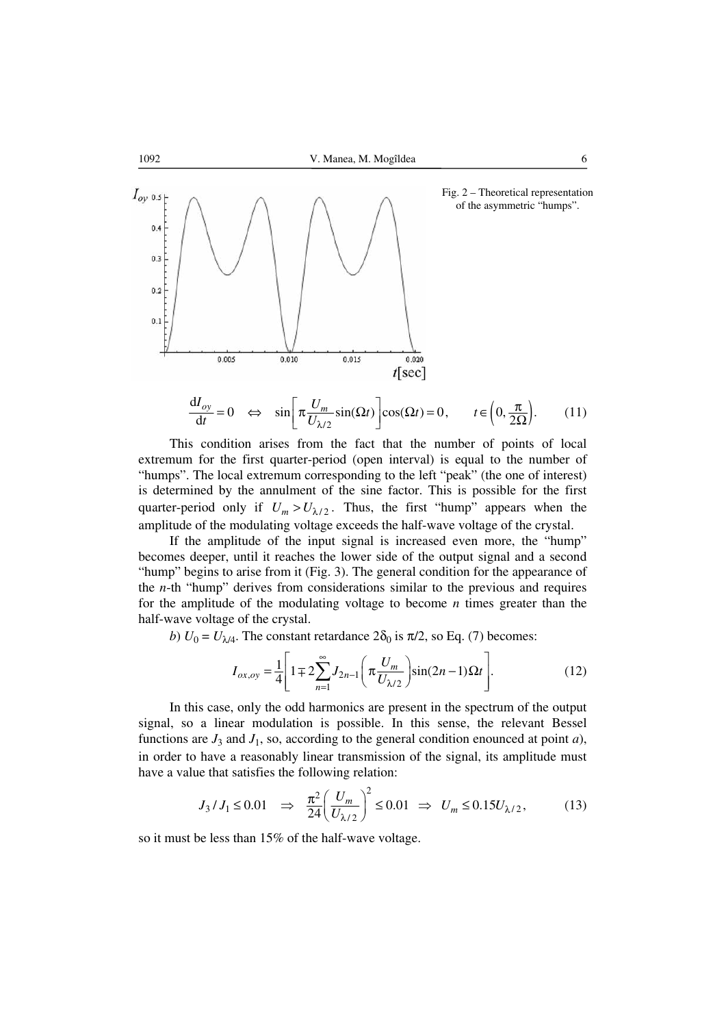

This condition arises from the fact that the number of points of local extremum for the first quarter-period (open interval) is equal to the number of "humps". The local extremum corresponding to the left "peak" (the one of interest) is determined by the annulment of the sine factor. This is possible for the first quarter-period only if  $U_m > U_{\lambda/2}$ . Thus, the first "hump" appears when the amplitude of the modulating voltage exceeds the half-wave voltage of the crystal.

If the amplitude of the input signal is increased even more, the "hump" becomes deeper, until it reaches the lower side of the output signal and a second "hump" begins to arise from it (Fig. 3). The general condition for the appearance of the *n*-th "hump" derives from considerations similar to the previous and requires for the amplitude of the modulating voltage to become *n* times greater than the half-wave voltage of the crystal.

*b*)  $U_0 = U_{\lambda/4}$ . The constant retardance  $2\delta_0$  is  $\pi/2$ , so Eq. (7) becomes:

$$
I_{ox,oy} = \frac{1}{4} \left[ 1 \mp 2 \sum_{n=1}^{\infty} J_{2n-1} \left( \pi \frac{U_m}{U_{\lambda/2}} \right) \sin((2n-1)\Omega t \right].
$$
 (12)

In this case, only the odd harmonics are present in the spectrum of the output signal, so a linear modulation is possible. In this sense, the relevant Bessel functions are  $J_3$  and  $J_1$ , so, according to the general condition enounced at point *a*), in order to have a reasonably linear transmission of the signal, its amplitude must have a value that satisfies the following relation:

$$
J_3 / J_1 \le 0.01 \quad \Rightarrow \quad \frac{\pi^2}{24} \left( \frac{U_m}{U_{\lambda/2}} \right)^2 \le 0.01 \quad \Rightarrow \quad U_m \le 0.15 U_{\lambda/2},\tag{13}
$$

so it must be less than 15% of the half-wave voltage.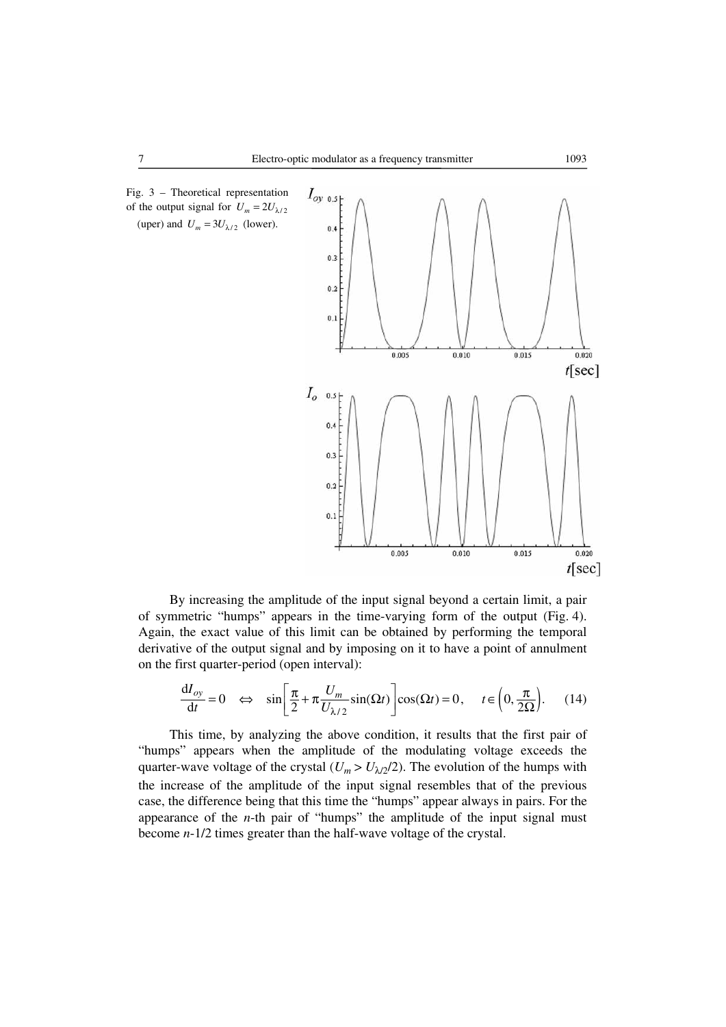



By increasing the amplitude of the input signal beyond a certain limit, a pair of symmetric "humps" appears in the time-varying form of the output (Fig. 4). Again, the exact value of this limit can be obtained by performing the temporal derivative of the output signal and by imposing on it to have a point of annulment on the first quarter-period (open interval):

$$
\frac{dI_{oy}}{dt} = 0 \quad \Leftrightarrow \quad \sin\left[\frac{\pi}{2} + \pi \frac{U_m}{U_{\lambda/2}} \sin(\Omega t)\right] \cos(\Omega t) = 0, \quad t \in \left(0, \frac{\pi}{2\Omega}\right). \tag{14}
$$

This time, by analyzing the above condition, it results that the first pair of "humps" appears when the amplitude of the modulating voltage exceeds the quarter-wave voltage of the crystal  $(U_m > U_{\lambda/2}/2)$ . The evolution of the humps with the increase of the amplitude of the input signal resembles that of the previous case, the difference being that this time the "humps" appear always in pairs. For the appearance of the *n*-th pair of "humps" the amplitude of the input signal must become *n*-1/2 times greater than the half-wave voltage of the crystal.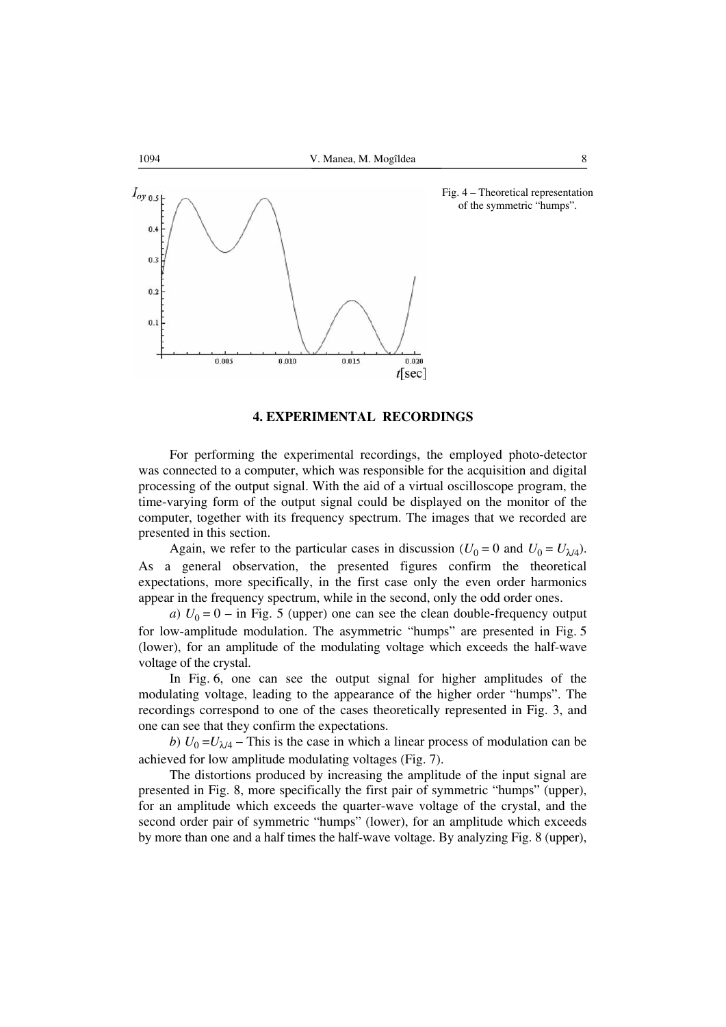

#### **4. EXPERIMENTAL RECORDINGS**

For performing the experimental recordings, the employed photo-detector was connected to a computer, which was responsible for the acquisition and digital processing of the output signal. With the aid of a virtual oscilloscope program, the time-varying form of the output signal could be displayed on the monitor of the computer, together with its frequency spectrum. The images that we recorded are presented in this section.

Again, we refer to the particular cases in discussion ( $U_0 = 0$  and  $U_0 = U_{\lambda/4}$ ). As a general observation, the presented figures confirm the theoretical expectations, more specifically, in the first case only the even order harmonics appear in the frequency spectrum, while in the second, only the odd order ones.

*a*)  $U_0 = 0$  – in Fig. 5 (upper) one can see the clean double-frequency output for low-amplitude modulation. The asymmetric "humps" are presented in Fig. 5 (lower), for an amplitude of the modulating voltage which exceeds the half-wave voltage of the crystal.

In Fig. 6, one can see the output signal for higher amplitudes of the modulating voltage, leading to the appearance of the higher order "humps". The recordings correspond to one of the cases theoretically represented in Fig. 3, and one can see that they confirm the expectations.

*b*)  $U_0 = U_{\lambda/4}$  – This is the case in which a linear process of modulation can be achieved for low amplitude modulating voltages (Fig. 7).

The distortions produced by increasing the amplitude of the input signal are presented in Fig. 8, more specifically the first pair of symmetric "humps" (upper), for an amplitude which exceeds the quarter-wave voltage of the crystal, and the second order pair of symmetric "humps" (lower), for an amplitude which exceeds by more than one and a half times the half-wave voltage. By analyzing Fig. 8 (upper),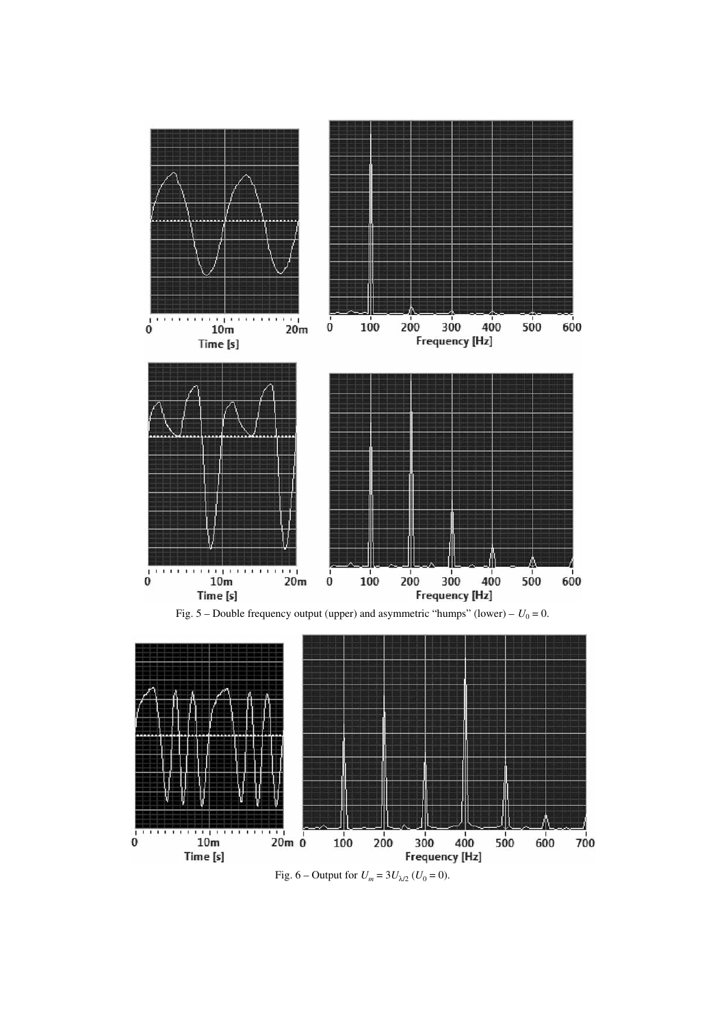

Fig. 5 – Double frequency output (upper) and asymmetric "humps" (lower) –  $U_0 = 0$ .



Fig. 6 – Output for  $U_m = 3U_{\lambda/2}$  ( $U_0 = 0$ ).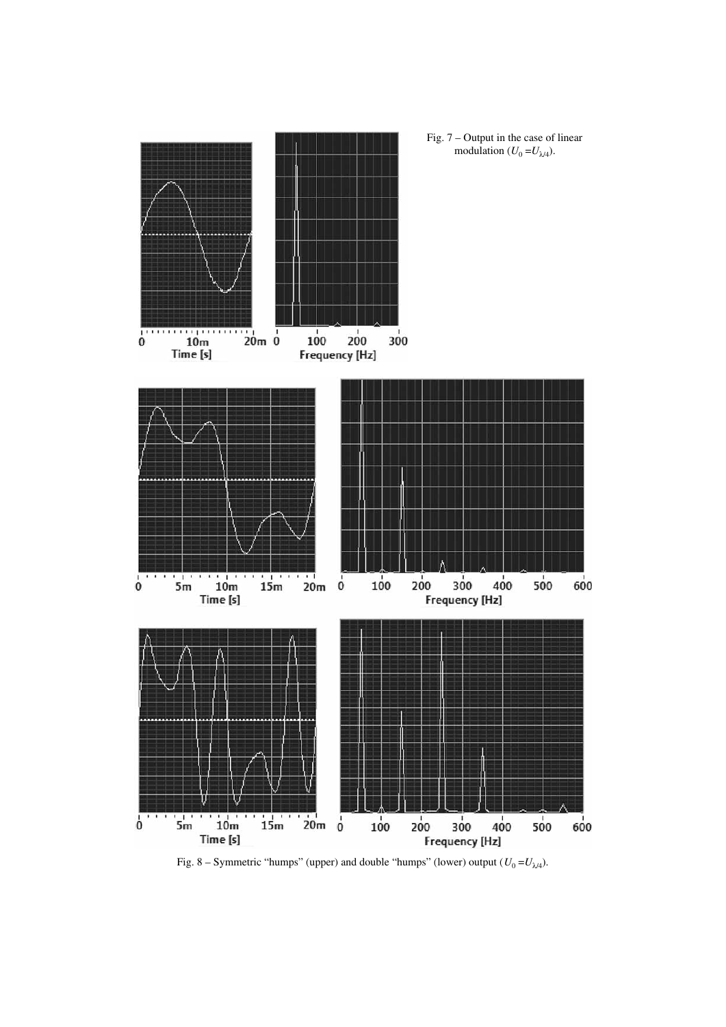

Fig. 8 – Symmetric "humps" (upper) and double "humps" (lower) output  $(U_0 = U_{\lambda/4})$ .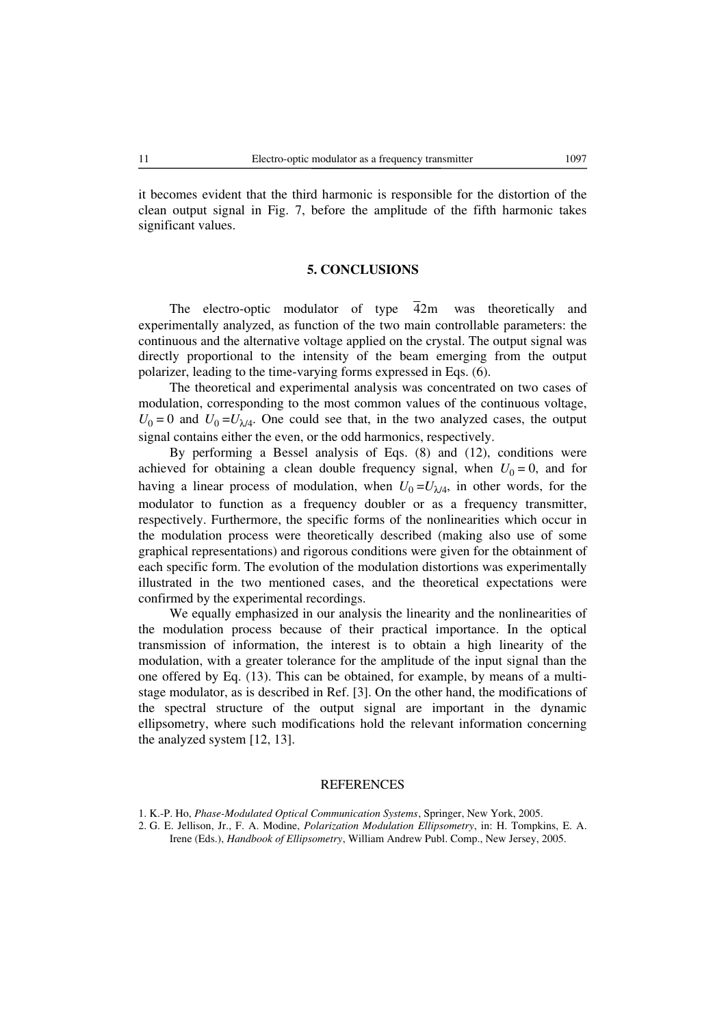it becomes evident that the third harmonic is responsible for the distortion of the clean output signal in Fig. 7, before the amplitude of the fifth harmonic takes significant values.

#### **5. CONCLUSIONS**

The electro-optic modulator of type  $\overline{4}2m$  was theoretically and experimentally analyzed, as function of the two main controllable parameters: the continuous and the alternative voltage applied on the crystal. The output signal was directly proportional to the intensity of the beam emerging from the output polarizer, leading to the time-varying forms expressed in Eqs. (6).

The theoretical and experimental analysis was concentrated on two cases of modulation, corresponding to the most common values of the continuous voltage,  $U_0 = 0$  and  $U_0 = U_{\lambda/4}$ . One could see that, in the two analyzed cases, the output signal contains either the even, or the odd harmonics, respectively.

By performing a Bessel analysis of Eqs. (8) and (12), conditions were achieved for obtaining a clean double frequency signal, when  $U_0 = 0$ , and for having a linear process of modulation, when  $U_0 = U_{\lambda/4}$ , in other words, for the modulator to function as a frequency doubler or as a frequency transmitter, respectively. Furthermore, the specific forms of the nonlinearities which occur in the modulation process were theoretically described (making also use of some graphical representations) and rigorous conditions were given for the obtainment of each specific form. The evolution of the modulation distortions was experimentally illustrated in the two mentioned cases, and the theoretical expectations were confirmed by the experimental recordings.

We equally emphasized in our analysis the linearity and the nonlinearities of the modulation process because of their practical importance. In the optical transmission of information, the interest is to obtain a high linearity of the modulation, with a greater tolerance for the amplitude of the input signal than the one offered by Eq. (13). This can be obtained, for example, by means of a multistage modulator, as is described in Ref. [3]. On the other hand, the modifications of the spectral structure of the output signal are important in the dynamic ellipsometry, where such modifications hold the relevant information concerning the analyzed system [12, 13].

### **REFERENCES**

<sup>1.</sup> K.-P. Ho, *Phase-Modulated Optical Communication Systems*, Springer, New York, 2005.

<sup>2.</sup> G. E. Jellison, Jr., F. A. Modine, *Polarization Modulation Ellipsometry*, in: H. Tompkins, E. A. Irene (Eds.), *Handbook of Ellipsometry*, William Andrew Publ. Comp., New Jersey, 2005.